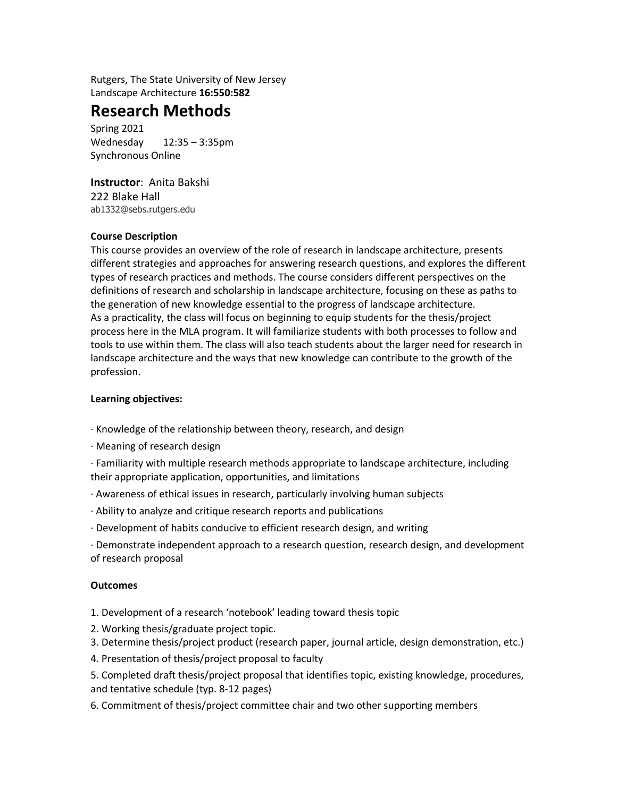Rutgers, The State University of New Jersey Landscape Architecture **16:550:582**

## **Research Methods**

Spring 2021 Wednesday 12:35 – 3:35pm Synchronous Online

**Instructor**: Anita Bakshi 222 Blake Hall ab1332@sebs.rutgers.edu

#### **Course Description**

This course provides an overview of the role of research in landscape architecture, presents different strategies and approaches for answering research questions, and explores the different types of research practices and methods. The course considers different perspectives on the definitions of research and scholarship in landscape architecture, focusing on these as paths to the generation of new knowledge essential to the progress of landscape architecture. As a practicality, the class will focus on beginning to equip students for the thesis/project process here in the MLA program. It will familiarize students with both processes to follow and tools to use within them. The class will also teach students about the larger need for research in landscape architecture and the ways that new knowledge can contribute to the growth of the profession.

#### **Learning objectives:**

- · Knowledge of the relationship between theory, research, and design
- · Meaning of research design

· Familiarity with multiple research methods appropriate to landscape architecture, including their appropriate application, opportunities, and limitations

- · Awareness of ethical issues in research, particularly involving human subjects
- · Ability to analyze and critique research reports and publications
- · Development of habits conducive to efficient research design, and writing

· Demonstrate independent approach to a research question, research design, and development of research proposal

#### **Outcomes**

- 1. Development of a research 'notebook' leading toward thesis topic
- 2. Working thesis/graduate project topic.
- 3. Determine thesis/project product (research paper, journal article, design demonstration, etc.)
- 4. Presentation of thesis/project proposal to faculty

5. Completed draft thesis/project proposal that identifies topic, existing knowledge, procedures, and tentative schedule (typ. 8-12 pages)

6. Commitment of thesis/project committee chair and two other supporting members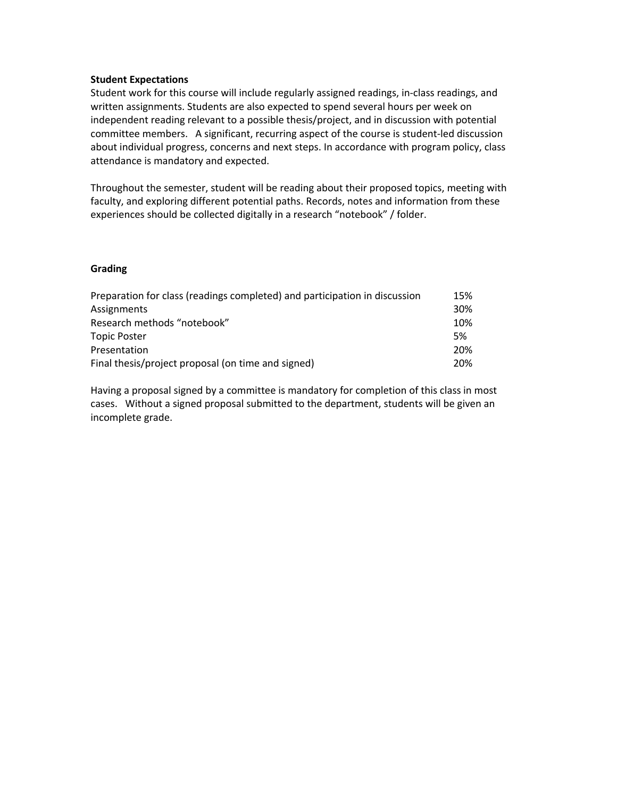#### **Student Expectations**

Student work for this course will include regularly assigned readings, in-class readings, and written assignments. Students are also expected to spend several hours per week on independent reading relevant to a possible thesis/project, and in discussion with potential committee members. A significant, recurring aspect of the course is student-led discussion about individual progress, concerns and next steps. In accordance with program policy, class attendance is mandatory and expected.

Throughout the semester, student will be reading about their proposed topics, meeting with faculty, and exploring different potential paths. Records, notes and information from these experiences should be collected digitally in a research "notebook" / folder.

#### **Grading**

| Preparation for class (readings completed) and participation in discussion | 15% |
|----------------------------------------------------------------------------|-----|
| Assignments                                                                | 30% |
| Research methods "notebook"                                                | 10% |
| <b>Topic Poster</b>                                                        | 5%  |
| Presentation                                                               | 20% |
| Final thesis/project proposal (on time and signed)                         | 20% |

Having a proposal signed by a committee is mandatory for completion of this class in most cases. Without a signed proposal submitted to the department, students will be given an incomplete grade.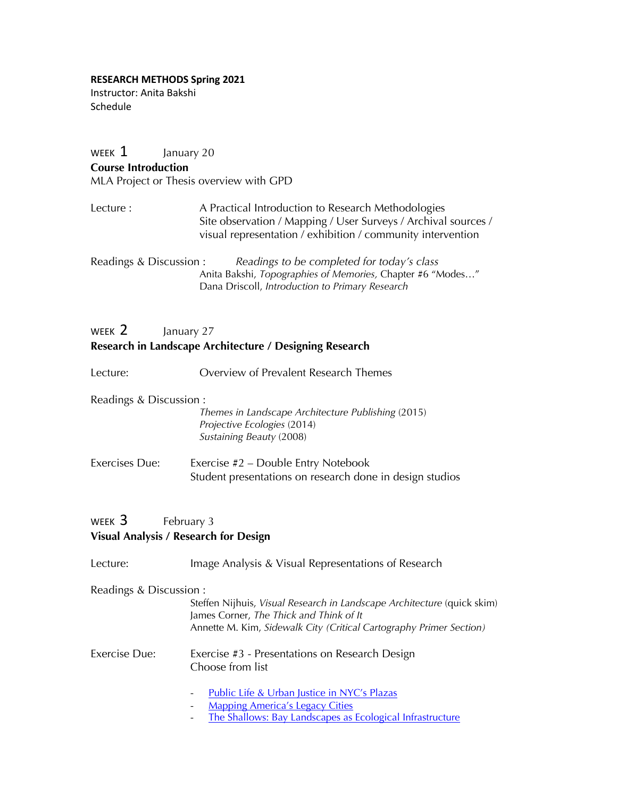#### **RESEARCH METHODS Spring 2021**

Instructor: Anita Bakshi Schedule

# WEEK  $1$  January 20 **Course Introduction** MLA Project or Thesis overview with GPD Lecture : A Practical Introduction to Research Methodologies Site observation / Mapping / User Surveys / Archival sources / visual representation / exhibition / community intervention Readings & Discussion : *Readings to be completed for today's class* Anita Bakshi, *Topographies of Memories,* Chapter #6 "Modes…" Dana Driscoll, *Introduction to Primary Research*  WEEK 2 January 27 **Research in Landscape Architecture / Designing Research** Lecture: Overview of Prevalent Research Themes

## Readings & Discussion : *Themes in Landscape Architecture Publishing* (2015) *Projective Ecologies* (2014) *Sustaining Beauty* (2008) Exercises Due: Exercise #2 – Double Entry Notebook

## WEEK 3 February 3 **Visual Analysis / Research for Design**

| Lecture:                | Image Analysis & Visual Representations of Research                                                                                                                                       |
|-------------------------|-------------------------------------------------------------------------------------------------------------------------------------------------------------------------------------------|
| Readings & Discussion : | Steffen Nijhuis, Visual Research in Landscape Architecture (quick skim)<br>James Corner, The Thick and Think of It<br>Annette M. Kim, Sidewalk City (Critical Cartography Primer Section) |
| <b>Exercise Due:</b>    | Exercise #3 - Presentations on Research Design<br>Choose from list                                                                                                                        |
|                         | Public Life & Urban Justice in NYC's Plazas<br>-<br><b>Mapping America's Legacy Cities</b><br>-<br>The Shallows: Bay Landscapes as Ecological Infrastructure                              |

Student presentations on research done in design studios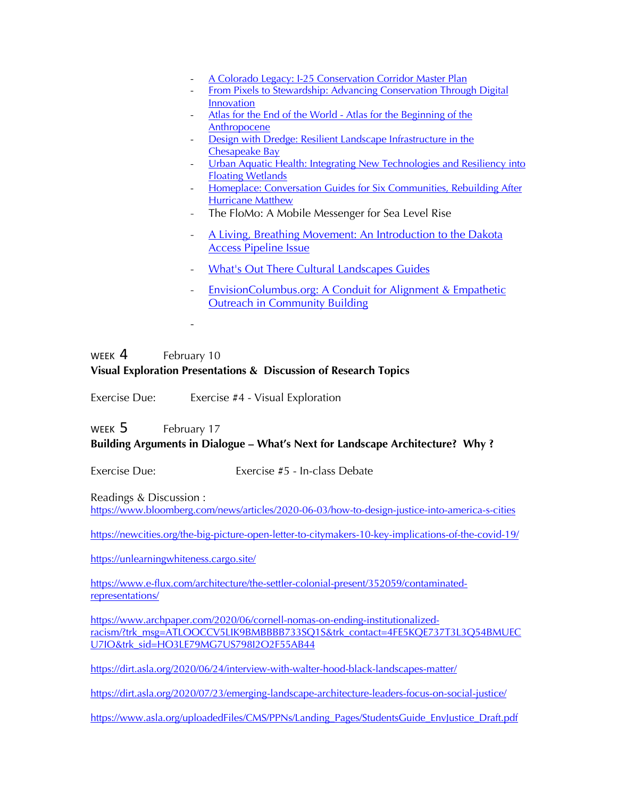- A Colorado Legacy: I-25 Conservation Corridor Master Plan
- From Pixels to Stewardship: Advancing Conservation Through Digital Innovation
- Atlas for the End of the World Atlas for the Beginning of the Anthropocene
- Design with Dredge: Resilient Landscape Infrastructure in the Chesapeake Bay
- Urban Aquatic Health: Integrating New Technologies and Resiliency into Floating Wetlands
- Homeplace: Conversation Guides for Six Communities, Rebuilding After Hurricane Matthew
- The FloMo: A Mobile Messenger for Sea Level Rise
- A Living, Breathing Movement: An Introduction to the Dakota Access Pipeline Issue
- What's Out There Cultural Landscapes Guides
- EnvisionColumbus.org: A Conduit for Alignment & Empathetic Outreach in Community Building

#### WEEK 4 February 10 **Visual Exploration Presentations & Discussion of Research Topics**

Exercise Due: Exercise #4 - Visual Exploration

-

WEEK 5 February 17

### **Building Arguments in Dialogue – What's Next for Landscape Architecture? Why ?**

Exercise Due: Exercise #5 - In-class Debate

Readings & Discussion : https://www.bloomberg.com/news/articles/2020-06-03/how-to-design-justice-into-america-s-cities

https://newcities.org/the-big-picture-open-letter-to-citymakers-10-key-implications-of-the-covid-19/

https://unlearningwhiteness.cargo.site/

https://www.e-flux.com/architecture/the-settler-colonial-present/352059/contaminatedrepresentations/

https://www.archpaper.com/2020/06/cornell-nomas-on-ending-institutionalizedracism/?trk\_msg=ATLOOCCV5LIK9BMBBBB733SQ1S&trk\_contact=4FE5KQE737T3L3Q54BMUEC U7IO&trk\_sid=HO3LE79MG7US798I2O2F55AB44

https://dirt.asla.org/2020/06/24/interview-with-walter-hood-black-landscapes-matter/

https://dirt.asla.org/2020/07/23/emerging-landscape-architecture-leaders-focus-on-social-justice/

https://www.asla.org/uploadedFiles/CMS/PPNs/Landing\_Pages/StudentsGuide\_EnvJustice\_Draft.pdf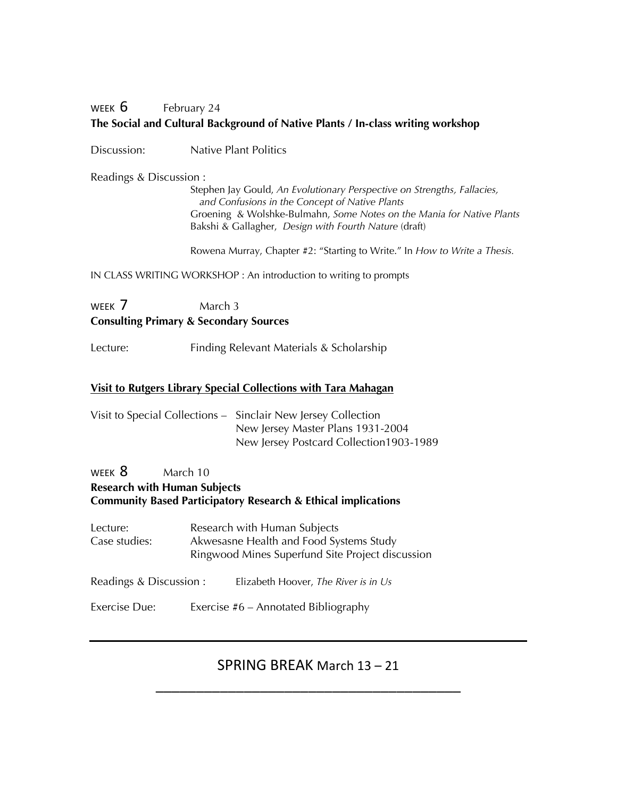## WEEK  $6$  February 24 **The Social and Cultural Background of Native Plants / In-class writing workshop**

Discussion: Native Plant Politics

Readings & Discussion :

Stephen Jay Gould, *An Evolutionary Perspective on Strengths, Fallacies, and Confusions in the Concept of Native Plants* Groening & Wolshke-Bulmahn, *Some Notes on the Mania for Native Plants* Bakshi & Gallagher, *Design with Fourth Nature* (draft)

Rowena Murray, Chapter #2: "Starting to Write." In *How to Write a Thesis.*

IN CLASS WRITING WORKSHOP : An introduction to writing to prompts

## WEEK 7 March 3 **Consulting Primary & Secondary Sources**

Lecture: Finding Relevant Materials & Scholarship

#### **Visit to Rutgers Library Special Collections with Tara Mahagan**

| Visit to Special Collections – Sinclair New Jersey Collection |
|---------------------------------------------------------------|
| New Jersey Master Plans 1931-2004                             |
| New Jersey Postcard Collection 1903-1989                      |

#### WEEK 8 March 10 **Research with Human Subjects Community Based Participatory Research & Ethical implications**

| Lecture:<br>Case studies: | Research with Human Subjects<br>Akwesasne Health and Food Systems Study<br>Ringwood Mines Superfund Site Project discussion |
|---------------------------|-----------------------------------------------------------------------------------------------------------------------------|
| Readings & Discussion :   | Elizabeth Hoover, The River is in Us                                                                                        |
| Exercise Due:             | Exercise $#6$ – Annotated Bibliography                                                                                      |

# SPRING BREAK March 13 – 21 \_\_\_\_\_\_\_\_\_\_\_\_\_\_\_\_\_\_\_\_\_\_\_\_\_\_\_\_\_\_\_\_\_\_\_\_\_\_